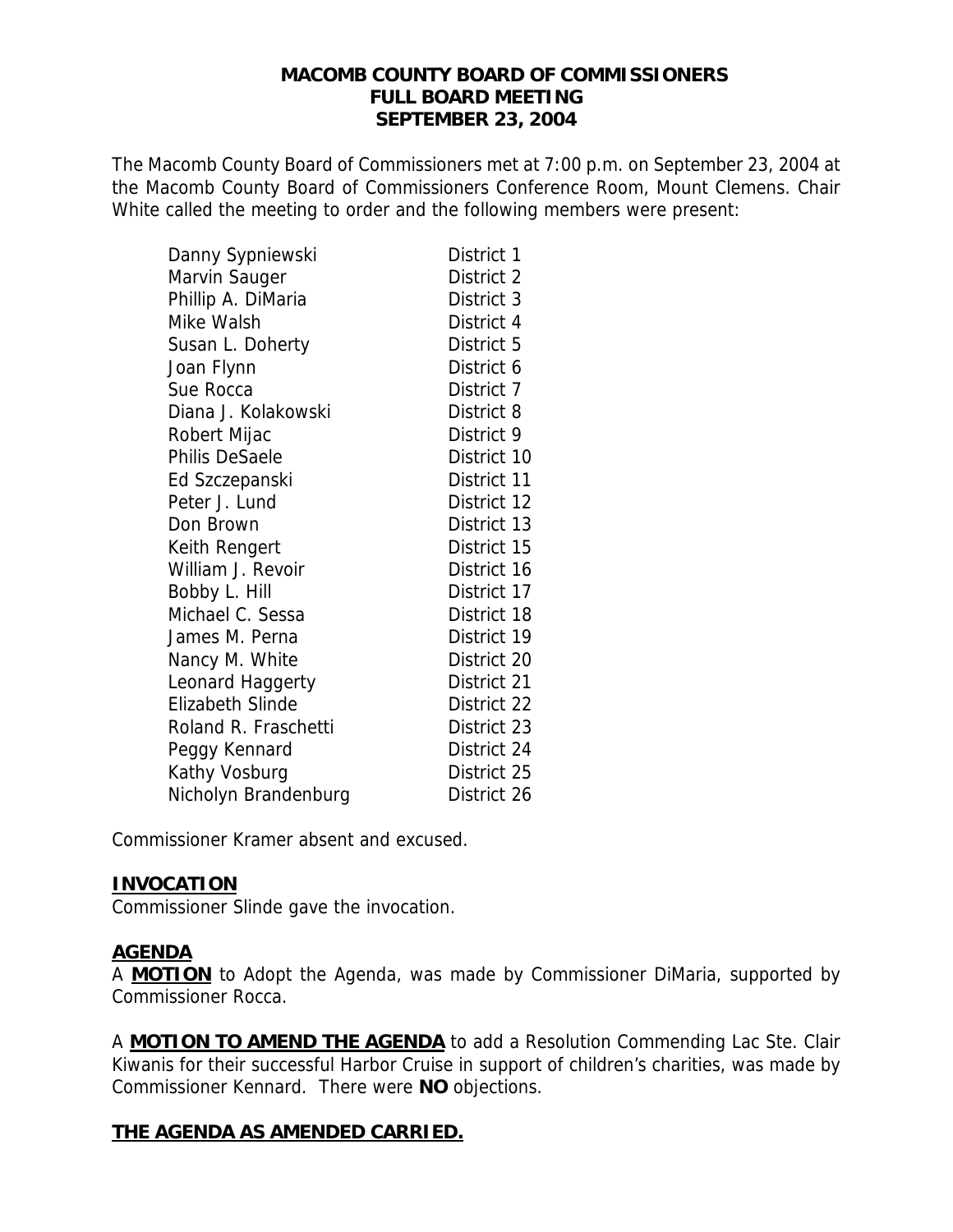#### **MACOMB COUNTY BOARD OF COMMISSIONERS FULL BOARD MEETING SEPTEMBER 23, 2004**

The Macomb County Board of Commissioners met at 7:00 p.m. on September 23, 2004 at the Macomb County Board of Commissioners Conference Room, Mount Clemens. Chair White called the meeting to order and the following members were present:

| Danny Sypniewski        | District 1  |
|-------------------------|-------------|
| Marvin Sauger           | District 2  |
| Phillip A. DiMaria      | District 3  |
| Mike Walsh              | District 4  |
| Susan L. Doherty        | District 5  |
| Joan Flynn              | District 6  |
| Sue Rocca               | District 7  |
| Diana J. Kolakowski     | District 8  |
| Robert Mijac            | District 9  |
| Philis DeSaele          | District 10 |
| Ed Szczepanski          | District 11 |
| Peter J. Lund           | District 12 |
| Don Brown               | District 13 |
| Keith Rengert           | District 15 |
| William J. Revoir       | District 16 |
| Bobby L. Hill           | District 17 |
| Michael C. Sessa        | District 18 |
| James M. Perna          | District 19 |
| Nancy M. White          | District 20 |
| Leonard Haggerty        | District 21 |
| <b>Elizabeth Slinde</b> | District 22 |
| Roland R. Fraschetti    | District 23 |
| Peggy Kennard           | District 24 |
| Kathy Vosburg           | District 25 |
| Nicholyn Brandenburg    | District 26 |

Commissioner Kramer absent and excused.

#### **INVOCATION**

Commissioner Slinde gave the invocation.

#### **AGENDA**

A **MOTION** to Adopt the Agenda, was made by Commissioner DiMaria, supported by Commissioner Rocca.

A **MOTION TO AMEND THE AGENDA** to add a Resolution Commending Lac Ste. Clair Kiwanis for their successful Harbor Cruise in support of children's charities, was made by Commissioner Kennard. There were **NO** objections.

#### **THE AGENDA AS AMENDED CARRIED.**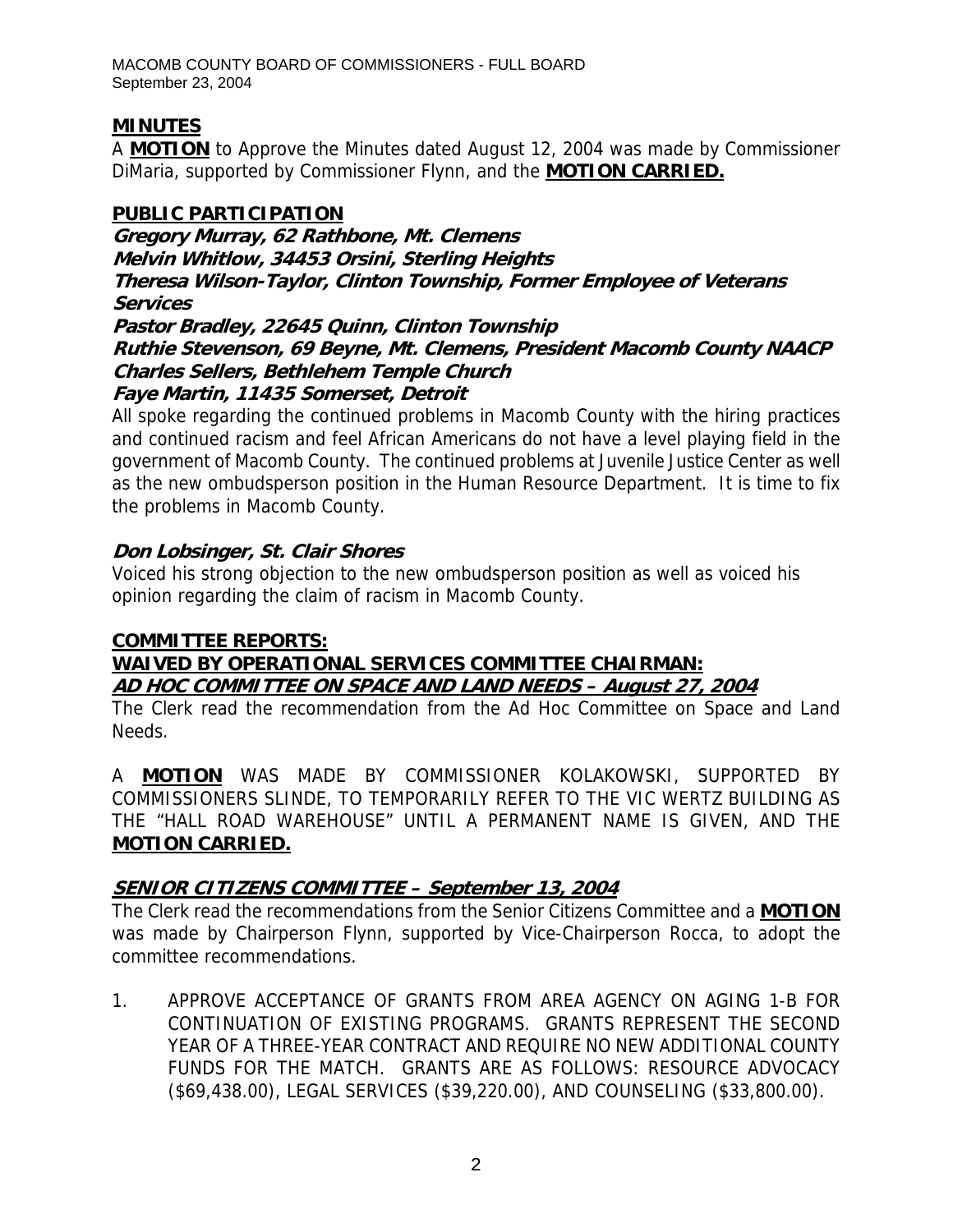# **MINUTES**

A **MOTION** to Approve the Minutes dated August 12, 2004 was made by Commissioner DiMaria, supported by Commissioner Flynn, and the **MOTION CARRIED.**

# **PUBLIC PARTICIPATION**

**Gregory Murray, 62 Rathbone, Mt. Clemens Melvin Whitlow, 34453 Orsini, Sterling Heights Theresa Wilson-Taylor, Clinton Township, Former Employee of Veterans Services Pastor Bradley, 22645 Quinn, Clinton Township Ruthie Stevenson, 69 Beyne, Mt. Clemens, President Macomb County NAACP** 

**Charles Sellers, Bethlehem Temple Church** 

# **Faye Martin, 11435 Somerset, Detroit**

All spoke regarding the continued problems in Macomb County with the hiring practices and continued racism and feel African Americans do not have a level playing field in the government of Macomb County. The continued problems at Juvenile Justice Center as well as the new ombudsperson position in the Human Resource Department. It is time to fix the problems in Macomb County.

# **Don Lobsinger, St. Clair Shores**

Voiced his strong objection to the new ombudsperson position as well as voiced his opinion regarding the claim of racism in Macomb County.

# **COMMITTEE REPORTS:**

# **WAIVED BY OPERATIONAL SERVICES COMMITTEE CHAIRMAN: AD HOC COMMITTEE ON SPACE AND LAND NEEDS – August 27, 2004**

The Clerk read the recommendation from the Ad Hoc Committee on Space and Land Needs.

A **MOTION** WAS MADE BY COMMISSIONER KOLAKOWSKI, SUPPORTED BY COMMISSIONERS SLINDE, TO TEMPORARILY REFER TO THE VIC WERTZ BUILDING AS THE "HALL ROAD WAREHOUSE" UNTIL A PERMANENT NAME IS GIVEN, AND THE **MOTION CARRIED.**

# **SENIOR CITIZENS COMMITTEE – September 13, 2004**

The Clerk read the recommendations from the Senior Citizens Committee and a **MOTION** was made by Chairperson Flynn, supported by Vice-Chairperson Rocca, to adopt the committee recommendations.

1. APPROVE ACCEPTANCE OF GRANTS FROM AREA AGENCY ON AGING 1-B FOR CONTINUATION OF EXISTING PROGRAMS. GRANTS REPRESENT THE SECOND YEAR OF A THREE-YEAR CONTRACT AND REQUIRE NO NEW ADDITIONAL COUNTY FUNDS FOR THE MATCH. GRANTS ARE AS FOLLOWS: RESOURCE ADVOCACY (\$69,438.00), LEGAL SERVICES (\$39,220.00), AND COUNSELING (\$33,800.00).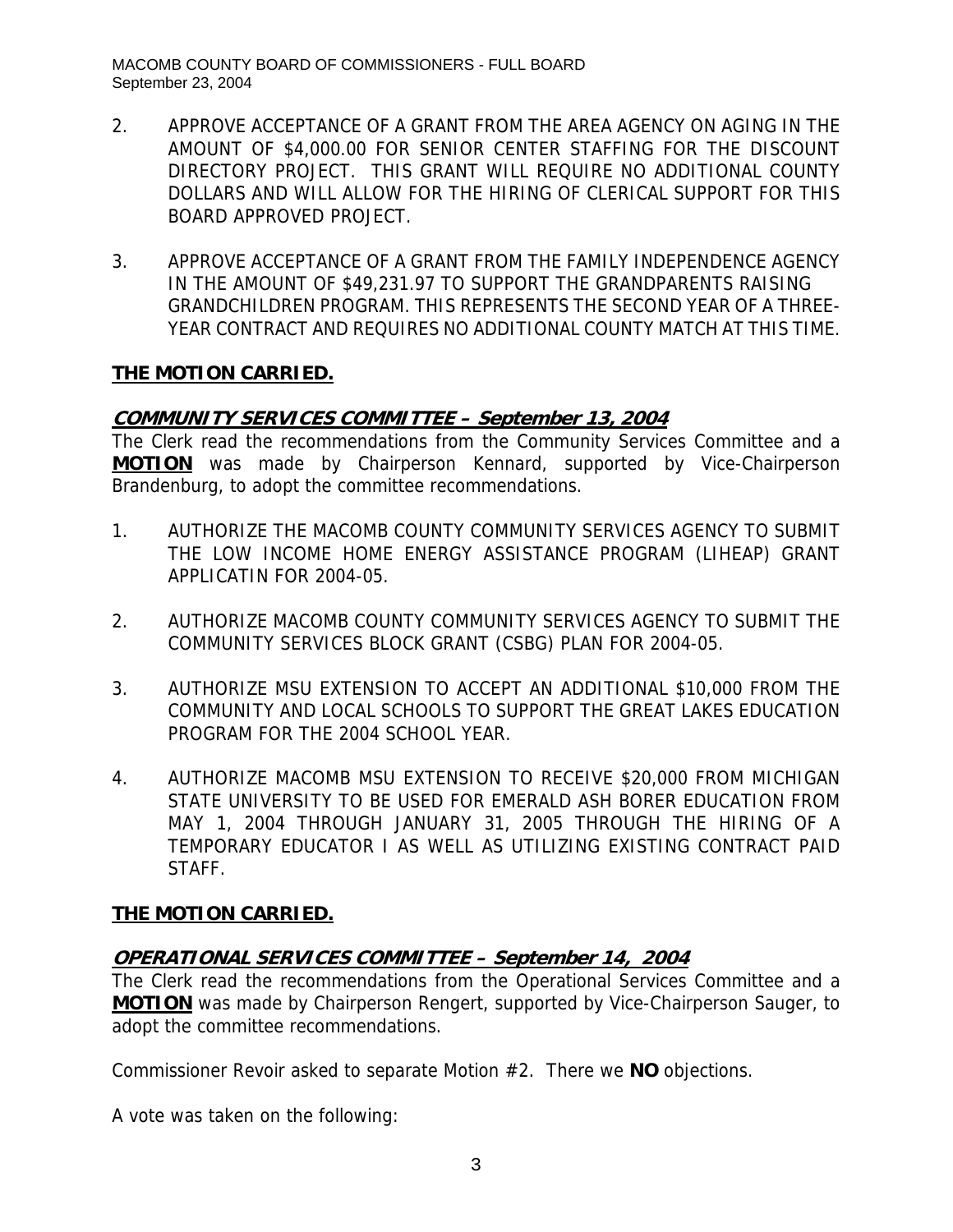- 2. APPROVE ACCEPTANCE OF A GRANT FROM THE AREA AGENCY ON AGING IN THE AMOUNT OF \$4,000.00 FOR SENIOR CENTER STAFFING FOR THE DISCOUNT DIRECTORY PROJECT. THIS GRANT WILL REQUIRE NO ADDITIONAL COUNTY DOLLARS AND WILL ALLOW FOR THE HIRING OF CLERICAL SUPPORT FOR THIS BOARD APPROVED PROJECT.
- 3. APPROVE ACCEPTANCE OF A GRANT FROM THE FAMILY INDEPENDENCE AGENCY IN THE AMOUNT OF \$49,231.97 TO SUPPORT THE GRANDPARENTS RAISING GRANDCHILDREN PROGRAM. THIS REPRESENTS THE SECOND YEAR OF A THREE-YEAR CONTRACT AND REQUIRES NO ADDITIONAL COUNTY MATCH AT THIS TIME.

#### **COMMUNITY SERVICES COMMITTEE – September 13, 2004**

The Clerk read the recommendations from the Community Services Committee and a **MOTION** was made by Chairperson Kennard, supported by Vice-Chairperson Brandenburg, to adopt the committee recommendations.

- 1. AUTHORIZE THE MACOMB COUNTY COMMUNITY SERVICES AGENCY TO SUBMIT THE LOW INCOME HOME ENERGY ASSISTANCE PROGRAM (LIHEAP) GRANT APPLICATIN FOR 2004-05.
- 2. AUTHORIZE MACOMB COUNTY COMMUNITY SERVICES AGENCY TO SUBMIT THE COMMUNITY SERVICES BLOCK GRANT (CSBG) PLAN FOR 2004-05.
- 3. AUTHORIZE MSU EXTENSION TO ACCEPT AN ADDITIONAL \$10,000 FROM THE COMMUNITY AND LOCAL SCHOOLS TO SUPPORT THE GREAT LAKES EDUCATION PROGRAM FOR THE 2004 SCHOOL YEAR.
- 4. AUTHORIZE MACOMB MSU EXTENSION TO RECEIVE \$20,000 FROM MICHIGAN STATE UNIVERSITY TO BE USED FOR EMERALD ASH BORER EDUCATION FROM MAY 1, 2004 THROUGH JANUARY 31, 2005 THROUGH THE HIRING OF A TEMPORARY EDUCATOR I AS WELL AS UTILIZING EXISTING CONTRACT PAID STAFF.

#### **THE MOTION CARRIED.**

# **OPERATIONAL SERVICES COMMITTEE – September 14, 2004**

The Clerk read the recommendations from the Operational Services Committee and a **MOTION** was made by Chairperson Rengert, supported by Vice-Chairperson Sauger, to adopt the committee recommendations.

Commissioner Revoir asked to separate Motion #2. There we **NO** objections.

A vote was taken on the following: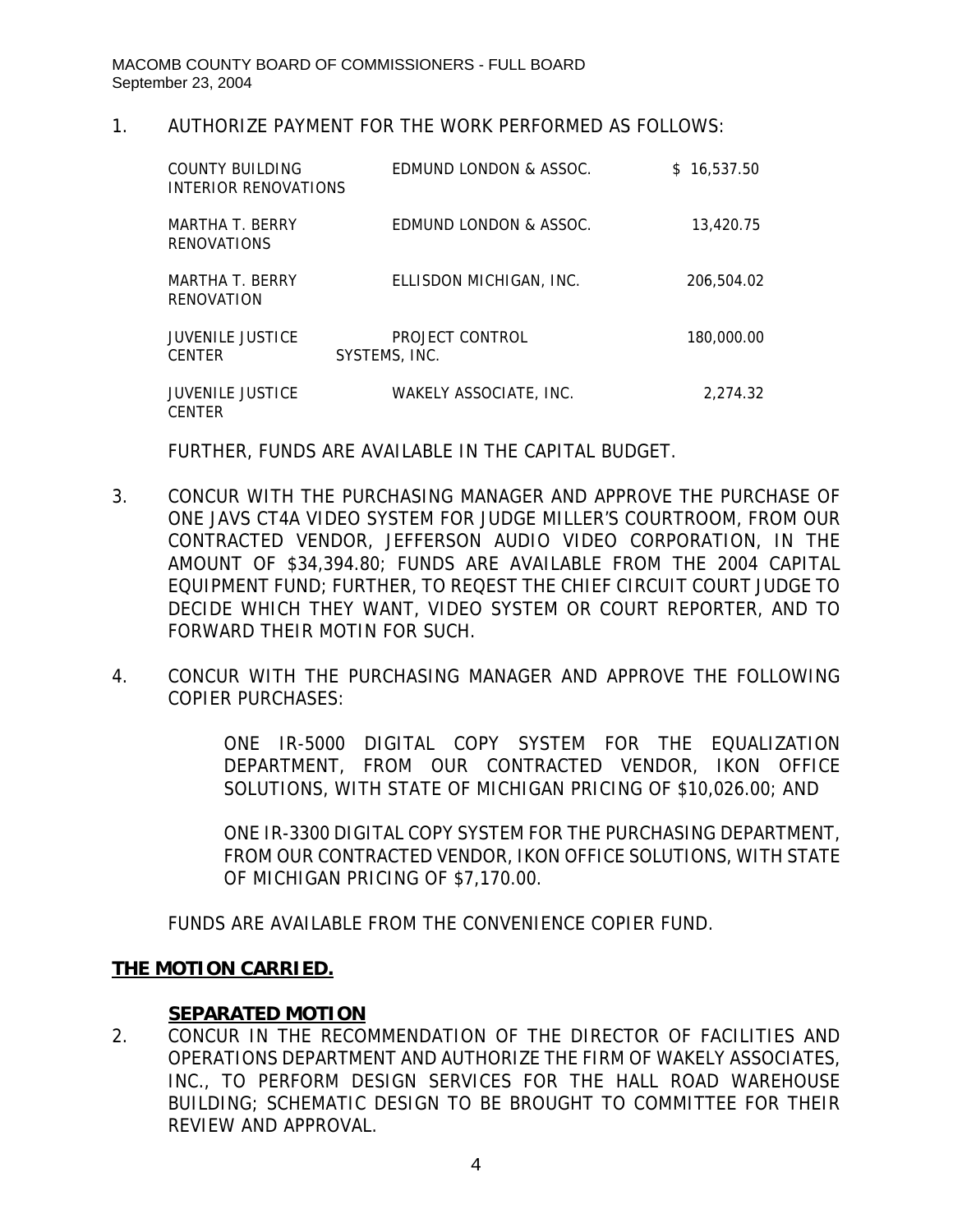#### 1. AUTHORIZE PAYMENT FOR THE WORK PERFORMED AS FOLLOWS:

| COUNTY BUILDING<br>INTERIOR RENOVATIONS  | EDMUND LONDON & ASSOC.           | \$16.537.50 |
|------------------------------------------|----------------------------------|-------------|
| MARTHA T. BERRY<br><b>RENOVATIONS</b>    | EDMUND LONDON & ASSOC.           | 13,420.75   |
| MARTHA T. BERRY<br>RENOVATION            | ELLISDON MICHIGAN, INC.          | 206,504.02  |
| <b>JUVENILE JUSTICE</b><br><b>CENTER</b> | PROJECT CONTROL<br>SYSTEMS, INC. | 180,000.00  |
| <b>JUVENILE JUSTICE</b><br><b>CENTER</b> | WAKELY ASSOCIATE, INC.           | 2.274.32    |

FURTHER, FUNDS ARE AVAILABLE IN THE CAPITAL BUDGET.

- 3. CONCUR WITH THE PURCHASING MANAGER AND APPROVE THE PURCHASE OF ONE JAVS CT4A VIDEO SYSTEM FOR JUDGE MILLER'S COURTROOM, FROM OUR CONTRACTED VENDOR, JEFFERSON AUDIO VIDEO CORPORATION, IN THE AMOUNT OF \$34,394.80; FUNDS ARE AVAILABLE FROM THE 2004 CAPITAL EQUIPMENT FUND; FURTHER, TO REQEST THE CHIEF CIRCUIT COURT JUDGE TO DECIDE WHICH THEY WANT, VIDEO SYSTEM OR COURT REPORTER, AND TO FORWARD THEIR MOTIN FOR SUCH.
- 4. CONCUR WITH THE PURCHASING MANAGER AND APPROVE THE FOLLOWING COPIER PURCHASES:

ONE IR-5000 DIGITAL COPY SYSTEM FOR THE EQUALIZATION DEPARTMENT, FROM OUR CONTRACTED VENDOR, IKON OFFICE SOLUTIONS, WITH STATE OF MICHIGAN PRICING OF \$10,026.00; AND

ONE IR-3300 DIGITAL COPY SYSTEM FOR THE PURCHASING DEPARTMENT, FROM OUR CONTRACTED VENDOR, IKON OFFICE SOLUTIONS, WITH STATE OF MICHIGAN PRICING OF \$7,170.00.

FUNDS ARE AVAILABLE FROM THE CONVENIENCE COPIER FUND.

# **THE MOTION CARRIED.**

#### **SEPARATED MOTION**

2. CONCUR IN THE RECOMMENDATION OF THE DIRECTOR OF FACILITIES AND OPERATIONS DEPARTMENT AND AUTHORIZE THE FIRM OF WAKELY ASSOCIATES, INC., TO PERFORM DESIGN SERVICES FOR THE HALL ROAD WAREHOUSE BUILDING; SCHEMATIC DESIGN TO BE BROUGHT TO COMMITTEE FOR THEIR REVIEW AND APPROVAL.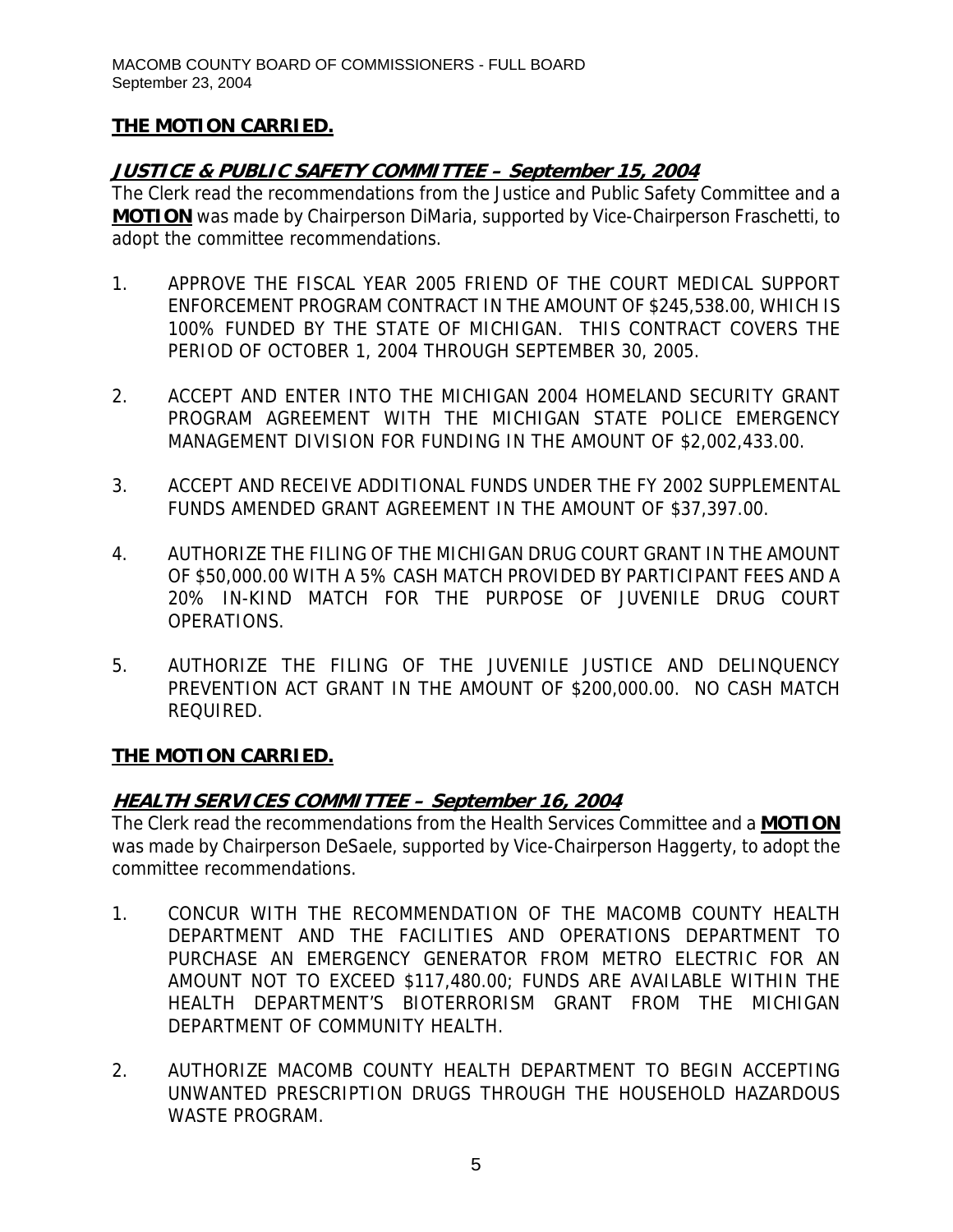# **JUSTICE & PUBLIC SAFETY COMMITTEE – September 15, 2004**

The Clerk read the recommendations from the Justice and Public Safety Committee and a **MOTION** was made by Chairperson DiMaria, supported by Vice-Chairperson Fraschetti, to adopt the committee recommendations.

- 1. APPROVE THE FISCAL YEAR 2005 FRIEND OF THE COURT MEDICAL SUPPORT ENFORCEMENT PROGRAM CONTRACT IN THE AMOUNT OF \$245,538.00, WHICH IS 100% FUNDED BY THE STATE OF MICHIGAN. THIS CONTRACT COVERS THE PERIOD OF OCTOBER 1, 2004 THROUGH SEPTEMBER 30, 2005.
- 2. ACCEPT AND ENTER INTO THE MICHIGAN 2004 HOMELAND SECURITY GRANT PROGRAM AGREEMENT WITH THE MICHIGAN STATE POLICE EMERGENCY MANAGEMENT DIVISION FOR FUNDING IN THE AMOUNT OF \$2,002,433.00.
- 3. ACCEPT AND RECEIVE ADDITIONAL FUNDS UNDER THE FY 2002 SUPPLEMENTAL FUNDS AMENDED GRANT AGREEMENT IN THE AMOUNT OF \$37,397.00.
- 4. AUTHORIZE THE FILING OF THE MICHIGAN DRUG COURT GRANT IN THE AMOUNT OF \$50,000.00 WITH A 5% CASH MATCH PROVIDED BY PARTICIPANT FEES AND A 20% IN-KIND MATCH FOR THE PURPOSE OF JUVENILE DRUG COURT OPERATIONS.
- 5. AUTHORIZE THE FILING OF THE JUVENILE JUSTICE AND DELINQUENCY PREVENTION ACT GRANT IN THE AMOUNT OF \$200,000.00. NO CASH MATCH REQUIRED.

# **THE MOTION CARRIED.**

# **HEALTH SERVICES COMMITTEE – September 16, 2004**

The Clerk read the recommendations from the Health Services Committee and a **MOTION** was made by Chairperson DeSaele, supported by Vice-Chairperson Haggerty, to adopt the committee recommendations.

- 1. CONCUR WITH THE RECOMMENDATION OF THE MACOMB COUNTY HEALTH DEPARTMENT AND THE FACILITIES AND OPERATIONS DEPARTMENT TO PURCHASE AN EMERGENCY GENERATOR FROM METRO ELECTRIC FOR AN AMOUNT NOT TO EXCEED \$117,480.00; FUNDS ARE AVAILABLE WITHIN THE HEALTH DEPARTMENT'S BIOTERRORISM GRANT FROM THE MICHIGAN DEPARTMENT OF COMMUNITY HEALTH.
- 2. AUTHORIZE MACOMB COUNTY HEALTH DEPARTMENT TO BEGIN ACCEPTING UNWANTED PRESCRIPTION DRUGS THROUGH THE HOUSEHOLD HAZARDOUS WASTE PROGRAM.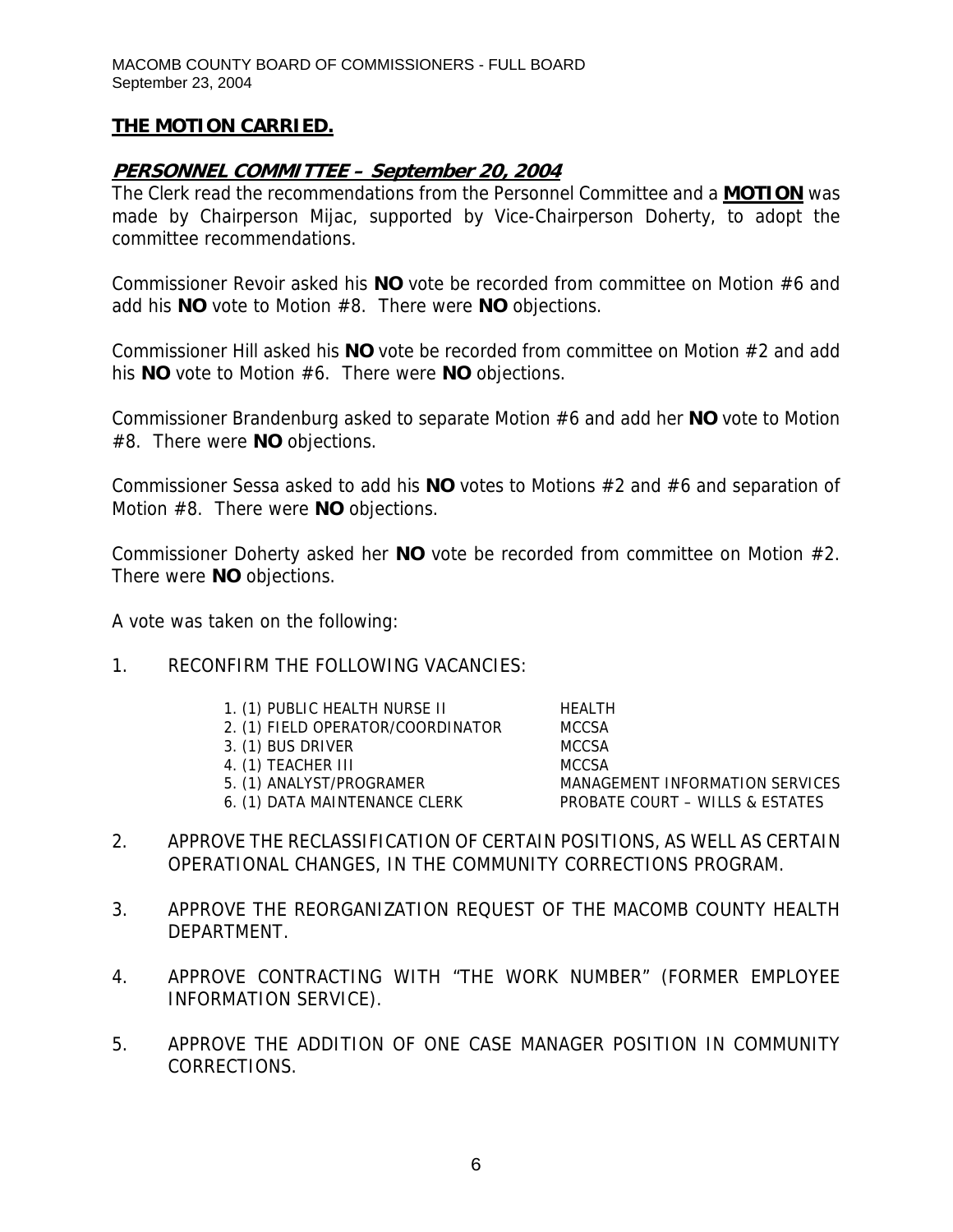# **PERSONNEL COMMITTEE – September 20, 2004**

The Clerk read the recommendations from the Personnel Committee and a **MOTION** was made by Chairperson Mijac, supported by Vice-Chairperson Doherty, to adopt the committee recommendations.

Commissioner Revoir asked his **NO** vote be recorded from committee on Motion #6 and add his **NO** vote to Motion #8. There were **NO** objections.

Commissioner Hill asked his **NO** vote be recorded from committee on Motion #2 and add his **NO** vote to Motion #6. There were **NO** objections.

Commissioner Brandenburg asked to separate Motion #6 and add her **NO** vote to Motion #8. There were **NO** objections.

Commissioner Sessa asked to add his **NO** votes to Motions #2 and #6 and separation of Motion #8. There were **NO** objections.

Commissioner Doherty asked her **NO** vote be recorded from committee on Motion #2. There were **NO** objections.

A vote was taken on the following:

#### 1. RECONFIRM THE FOLLOWING VACANCIES:

- 1. (1) PUBLIC HEALTH NURSE II HEALTH
- 2. (1) FIELD OPERATOR/COORDINATOR MCCSA
- 3. (1) BUS DRIVER MCCSA
- 4. (1) TEACHER III MCCSA
- 5. (1) ANALYST/PROGRAMER MANAGEMENT INFORMATION SERVICES
- 6. (1) DATA MAINTENANCE CLERK PROBATE COURT WILLS & ESTATES

- 
- 2. APPROVE THE RECLASSIFICATION OF CERTAIN POSITIONS, AS WELL AS CERTAIN OPERATIONAL CHANGES, IN THE COMMUNITY CORRECTIONS PROGRAM.
- 3. APPROVE THE REORGANIZATION REQUEST OF THE MACOMB COUNTY HEALTH DEPARTMENT.
- 4. APPROVE CONTRACTING WITH "THE WORK NUMBER" (FORMER EMPLOYEE INFORMATION SERVICE).
- 5. APPROVE THE ADDITION OF ONE CASE MANAGER POSITION IN COMMUNITY CORRECTIONS.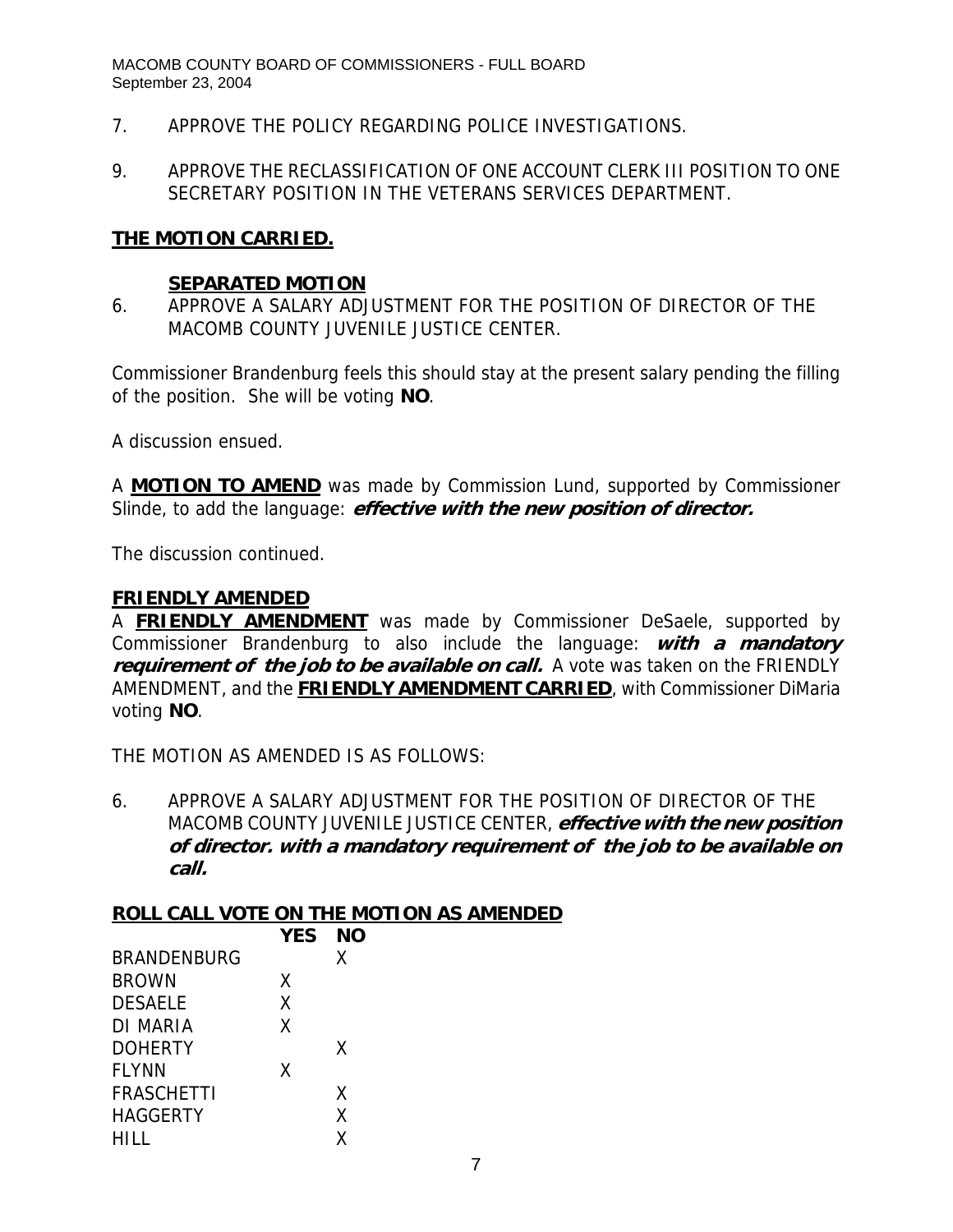- 7. APPROVE THE POLICY REGARDING POLICE INVESTIGATIONS.
- 9. APPROVE THE RECLASSIFICATION OF ONE ACCOUNT CLERK III POSITION TO ONE SECRETARY POSITION IN THE VETERANS SERVICES DEPARTMENT.

#### **THE MOTION CARRIED.**

#### **SEPARATED MOTION**

6. APPROVE A SALARY ADJUSTMENT FOR THE POSITION OF DIRECTOR OF THE MACOMB COUNTY JUVENILE JUSTICE CENTER.

Commissioner Brandenburg feels this should stay at the present salary pending the filling of the position. She will be voting **NO**.

A discussion ensued.

A **MOTION TO AMEND** was made by Commission Lund, supported by Commissioner Slinde, to add the language: **effective with the new position of director.**

The discussion continued.

#### **FRIENDLY AMENDED**

A **FRIENDLY AMENDMENT** was made by Commissioner DeSaele, supported by Commissioner Brandenburg to also include the language: **with a mandatory requirement of the job to be available on call.** A vote was taken on the FRIENDLY AMENDMENT, and the **FRIENDLY AMENDMENT CARRIED**, with Commissioner DiMaria voting **NO**.

THE MOTION AS AMENDED IS AS FOLLOWS:

6. APPROVE A SALARY ADJUSTMENT FOR THE POSITION OF DIRECTOR OF THE MACOMB COUNTY JUVENILE JUSTICE CENTER, **effective with the new position of director. with a mandatory requirement of the job to be available on call.** 

# **ROLL CALL VOTE ON THE MOTION AS AMENDED**

|                    | <b>YES</b> | NΟ |  |
|--------------------|------------|----|--|
| <b>BRANDENBURG</b> |            | X  |  |
| <b>BROWN</b>       | x          |    |  |
| <b>DESAELE</b>     | χ          |    |  |
| DI MARIA           | χ          |    |  |
| <b>DOHERTY</b>     |            | X  |  |
| <b>FLYNN</b>       | Χ          |    |  |
| <b>FRASCHETTI</b>  |            | X  |  |
| <b>HAGGERTY</b>    |            | X  |  |
| HILL.              |            | χ  |  |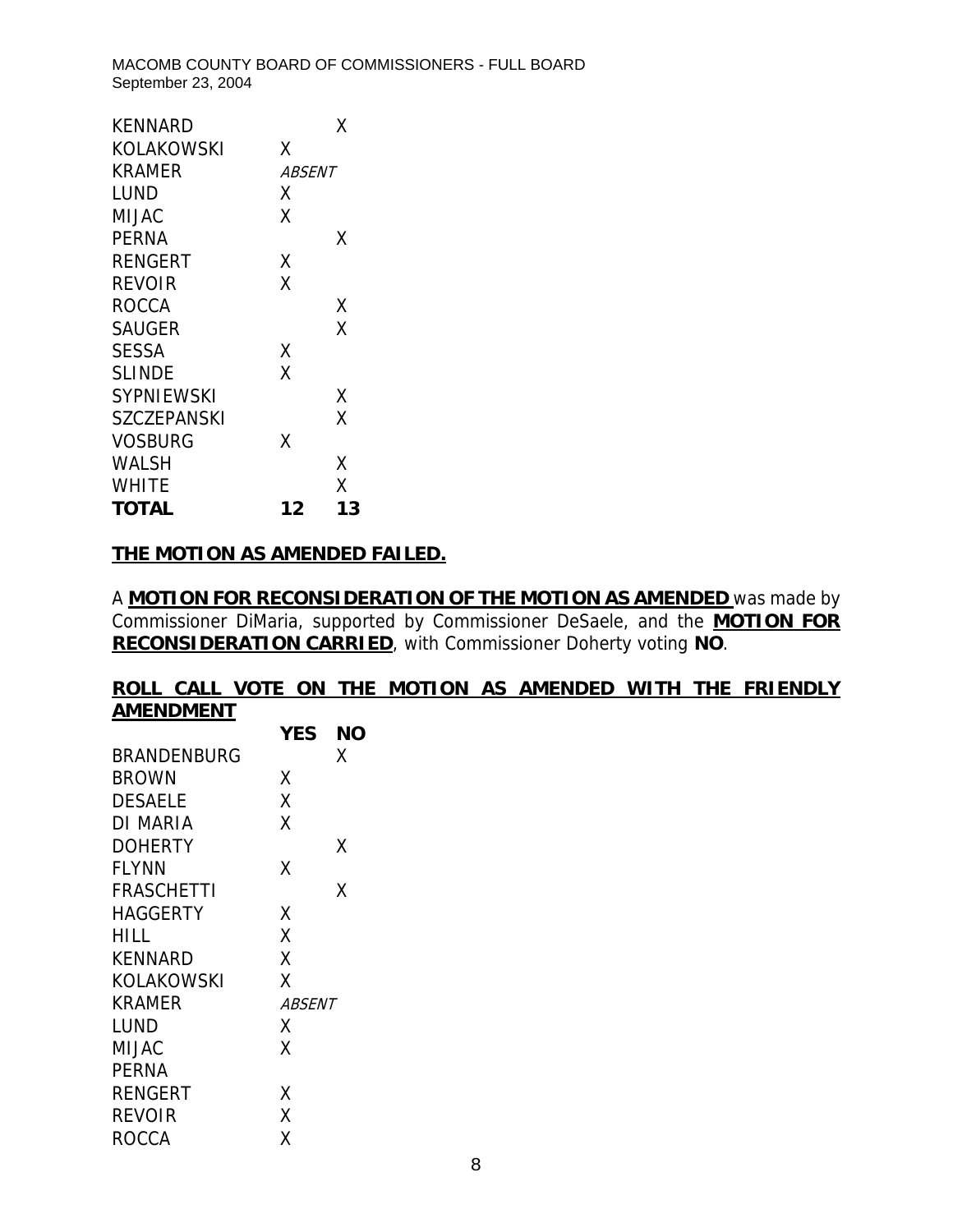| KENNARD            |        | Χ  |
|--------------------|--------|----|
| KOLAKOWSKI         | x      |    |
| KRAMER             | ABSENT |    |
| LUND               | Χ      |    |
| MIJAC              | Χ      |    |
| <b>PERNA</b>       |        | Χ  |
| <b>RENGERT</b>     | Χ      |    |
| <b>REVOIR</b>      | X      |    |
| ROCCA              |        | Χ  |
| <b>SAUGER</b>      |        | Χ  |
| <b>SESSA</b>       | Χ      |    |
| <b>SLINDE</b>      | χ      |    |
| <b>SYPNIEWSKI</b>  |        | Χ  |
| <b>SZCZEPANSKI</b> |        | Χ  |
| <b>VOSBURG</b>     | χ      |    |
| WALSH              |        | χ  |
| <b>WHITE</b>       |        | χ  |
| TOTAL              | 12     | 13 |

#### **THE MOTION AS AMENDED FAILED.**

A **MOTION FOR RECONSIDERATION OF THE MOTION AS AMENDED** was made by Commissioner DiMaria, supported by Commissioner DeSaele, and the **MOTION FOR RECONSIDERATION CARRIED**, with Commissioner Doherty voting **NO**.

#### **ROLL CALL VOTE ON THE MOTION AS AMENDED WITH THE FRIENDLY AMENDMENT**

|                   | <b>YES</b>    | NΟ |
|-------------------|---------------|----|
| BRANDENBURG       |               | Χ  |
| BROWN             | Χ             |    |
| <b>DESAELE</b>    | X             |    |
| DI MARIA          | X             |    |
| DOHERTY           |               | x  |
| <b>FLYNN</b>      | Χ             |    |
| <b>FRASCHETTI</b> |               | Χ  |
| HAGGERTY          | Χ             |    |
| HILL              | X             |    |
| KENNARD           | Χ             |    |
| KOLAKOWSKI        | Χ             |    |
| KRAMER            | <i>ABSENT</i> |    |
| LUND              | Χ             |    |
| MIJAC             | X             |    |
| PERNA             |               |    |
| RENGERT           | Χ             |    |
| REVOIR            | χ             |    |
| ROCCA             | Χ             |    |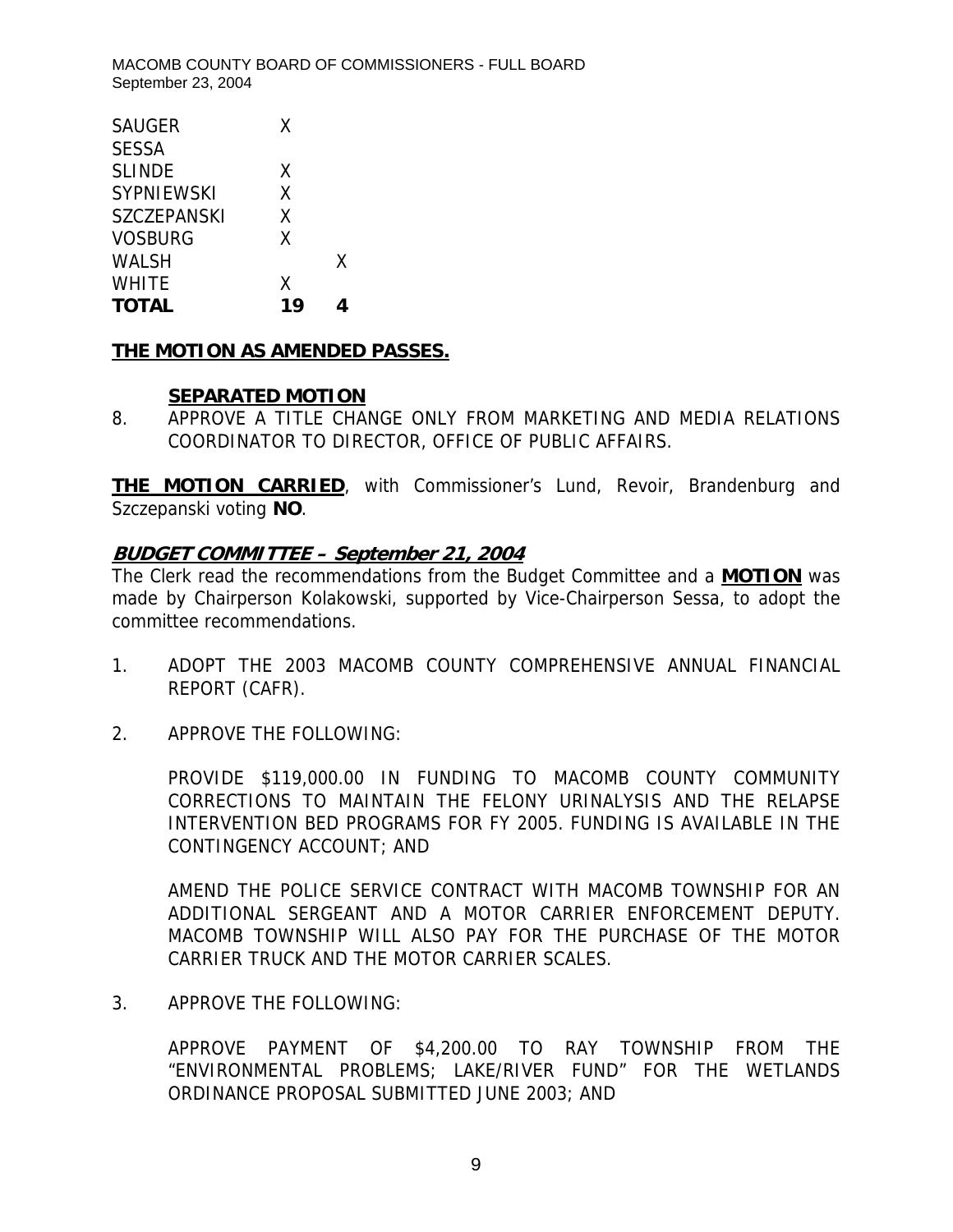| <b>SAUGER</b>      | X  |   |
|--------------------|----|---|
| <b>SESSA</b>       |    |   |
| <b>SLINDE</b>      | X  |   |
| <b>SYPNIEWSKI</b>  | X  |   |
| <b>SZCZEPANSKI</b> | X  |   |
| <b>VOSBURG</b>     | X  |   |
| <b>WALSH</b>       |    | X |
| <b>WHITE</b>       | X  |   |
| <b>TOTAL</b>       | 19 |   |

#### **THE MOTION AS AMENDED PASSES.**

#### **SEPARATED MOTION**

8. APPROVE A TITLE CHANGE ONLY FROM MARKETING AND MEDIA RELATIONS COORDINATOR TO DIRECTOR, OFFICE OF PUBLIC AFFAIRS.

**THE MOTION CARRIED**, with Commissioner's Lund, Revoir, Brandenburg and Szczepanski voting **NO**.

# **BUDGET COMMITTEE – September 21, 2004**

The Clerk read the recommendations from the Budget Committee and a **MOTION** was made by Chairperson Kolakowski, supported by Vice-Chairperson Sessa, to adopt the committee recommendations.

- 1. ADOPT THE 2003 MACOMB COUNTY COMPREHENSIVE ANNUAL FINANCIAL REPORT (CAFR).
- 2. APPROVE THE FOLLOWING:

PROVIDE \$119,000.00 IN FUNDING TO MACOMB COUNTY COMMUNITY CORRECTIONS TO MAINTAIN THE FELONY URINALYSIS AND THE RELAPSE INTERVENTION BED PROGRAMS FOR FY 2005. FUNDING IS AVAILABLE IN THE CONTINGENCY ACCOUNT; AND

AMEND THE POLICE SERVICE CONTRACT WITH MACOMB TOWNSHIP FOR AN ADDITIONAL SERGEANT AND A MOTOR CARRIER ENFORCEMENT DEPUTY. MACOMB TOWNSHIP WILL ALSO PAY FOR THE PURCHASE OF THE MOTOR CARRIER TRUCK AND THE MOTOR CARRIER SCALES.

3. APPROVE THE FOLLOWING:

APPROVE PAYMENT OF \$4,200.00 TO RAY TOWNSHIP FROM THE "ENVIRONMENTAL PROBLEMS; LAKE/RIVER FUND" FOR THE WETLANDS ORDINANCE PROPOSAL SUBMITTED JUNE 2003; AND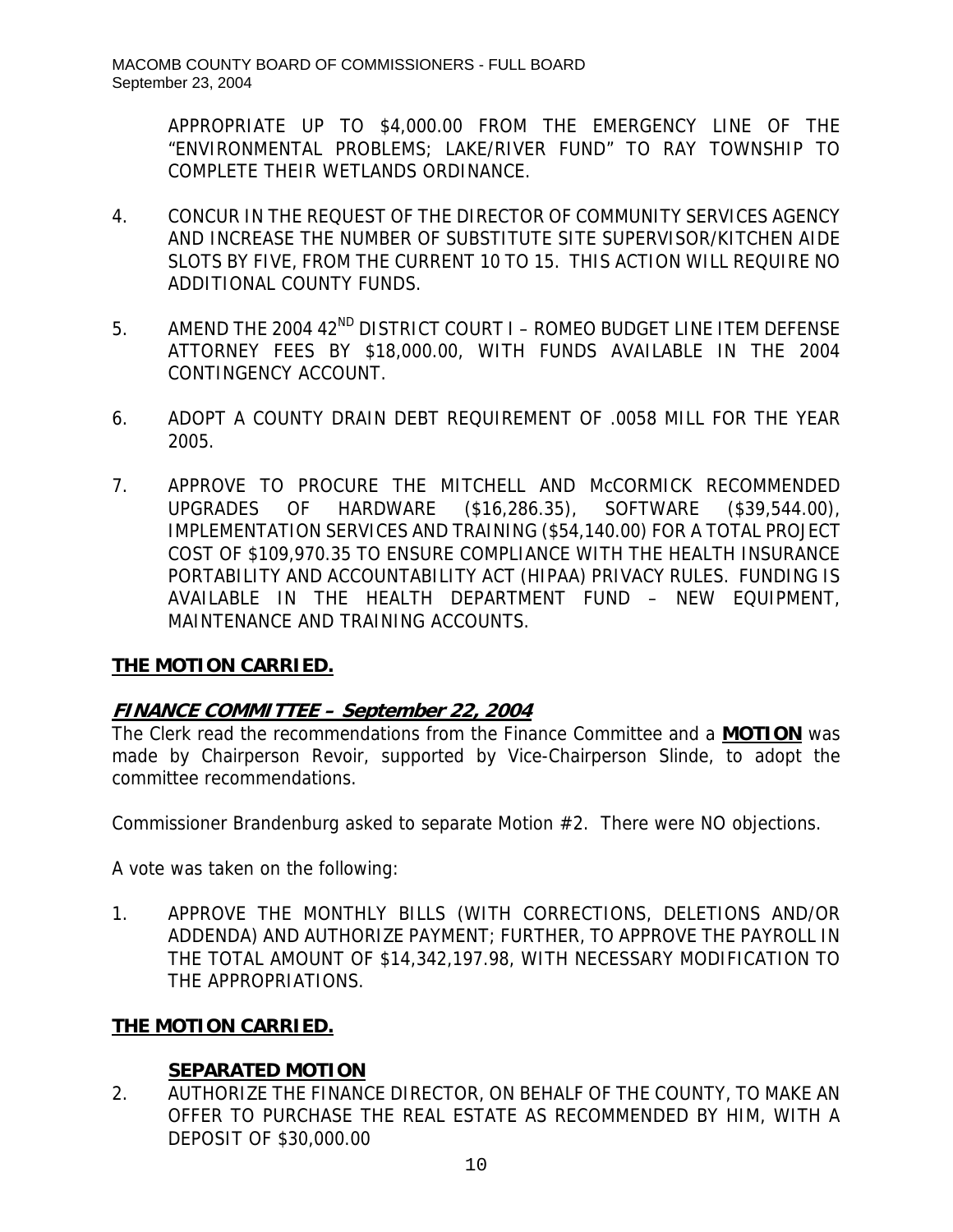APPROPRIATE UP TO \$4,000.00 FROM THE EMERGENCY LINE OF THE "ENVIRONMENTAL PROBLEMS; LAKE/RIVER FUND" TO RAY TOWNSHIP TO COMPLETE THEIR WETLANDS ORDINANCE.

- 4. CONCUR IN THE REQUEST OF THE DIRECTOR OF COMMUNITY SERVICES AGENCY AND INCREASE THE NUMBER OF SUBSTITUTE SITE SUPERVISOR/KITCHEN AIDE SLOTS BY FIVE, FROM THE CURRENT 10 TO 15. THIS ACTION WILL REQUIRE NO ADDITIONAL COUNTY FUNDS.
- 5. AMEND THE 2004 42<sup>ND</sup> DISTRICT COURT I ROMEO BUDGET LINE ITEM DEFENSE ATTORNEY FEES BY \$18,000.00, WITH FUNDS AVAILABLE IN THE 2004 CONTINGENCY ACCOUNT.
- 6. ADOPT A COUNTY DRAIN DEBT REQUIREMENT OF .0058 MILL FOR THE YEAR 2005.
- 7. APPROVE TO PROCURE THE MITCHELL AND McCORMICK RECOMMENDED UPGRADES OF HARDWARE (\$16,286.35), SOFTWARE (\$39,544.00), IMPLEMENTATION SERVICES AND TRAINING (\$54,140.00) FOR A TOTAL PROJECT COST OF \$109,970.35 TO ENSURE COMPLIANCE WITH THE HEALTH INSURANCE PORTABILITY AND ACCOUNTABILITY ACT (HIPAA) PRIVACY RULES. FUNDING IS AVAILABLE IN THE HEALTH DEPARTMENT FUND – NEW EQUIPMENT, MAINTENANCE AND TRAINING ACCOUNTS.

# **THE MOTION CARRIED.**

# **FINANCE COMMITTEE – September 22, 2004**

The Clerk read the recommendations from the Finance Committee and a **MOTION** was made by Chairperson Revoir, supported by Vice-Chairperson Slinde, to adopt the committee recommendations.

Commissioner Brandenburg asked to separate Motion #2. There were NO objections.

A vote was taken on the following:

1. APPROVE THE MONTHLY BILLS (WITH CORRECTIONS, DELETIONS AND/OR ADDENDA) AND AUTHORIZE PAYMENT; FURTHER, TO APPROVE THE PAYROLL IN THE TOTAL AMOUNT OF \$14,342,197.98, WITH NECESSARY MODIFICATION TO THE APPROPRIATIONS.

# **THE MOTION CARRIED.**

# **SEPARATED MOTION**

2. AUTHORIZE THE FINANCE DIRECTOR, ON BEHALF OF THE COUNTY, TO MAKE AN OFFER TO PURCHASE THE REAL ESTATE AS RECOMMENDED BY HIM, WITH A DEPOSIT OF \$30,000.00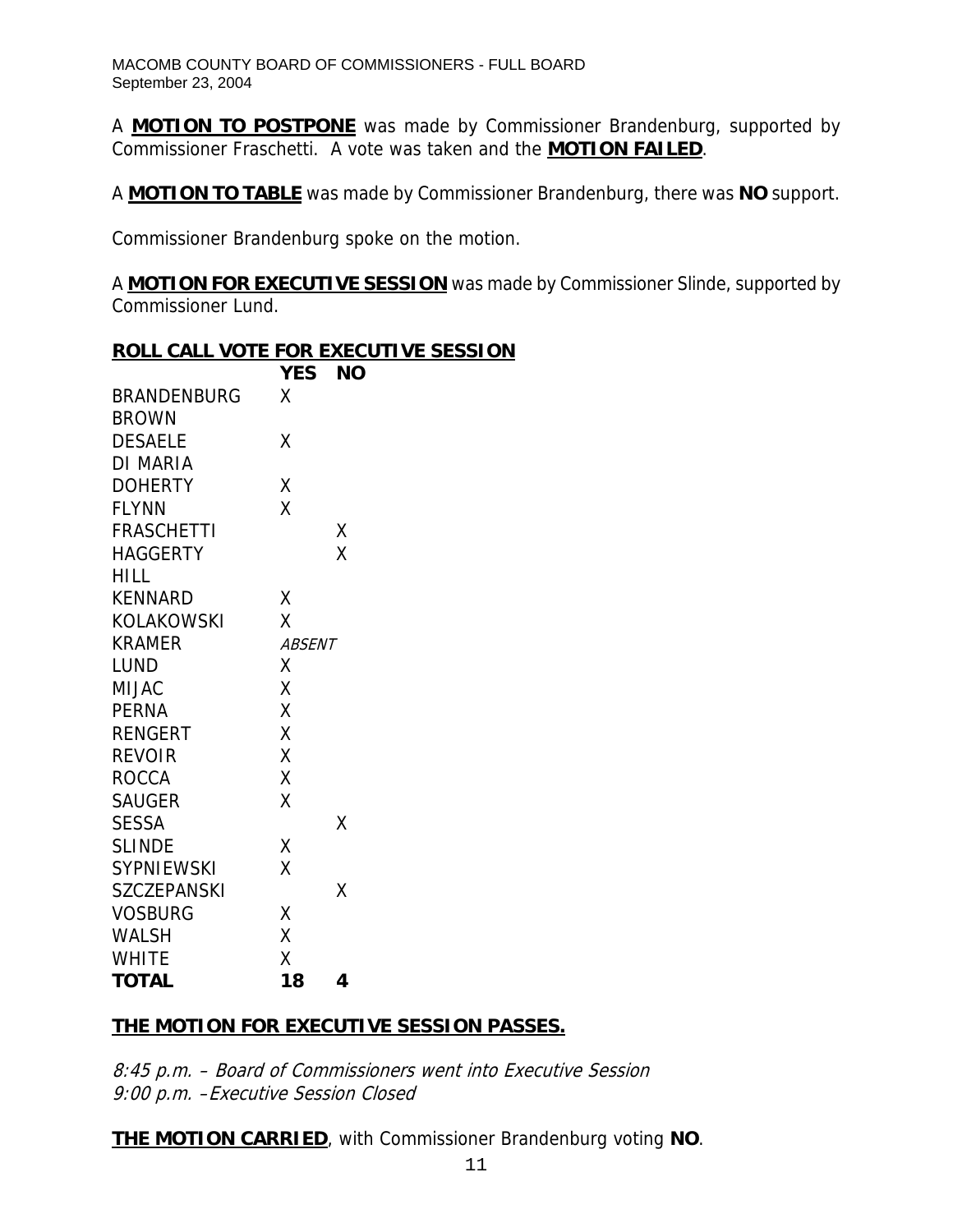A **MOTION TO POSTPONE** was made by Commissioner Brandenburg, supported by Commissioner Fraschetti. A vote was taken and the **MOTION FAILED**.

A **MOTION TO TABLE** was made by Commissioner Brandenburg, there was **NO** support.

Commissioner Brandenburg spoke on the motion.

A **MOTION FOR EXECUTIVE SESSION** was made by Commissioner Slinde, supported by Commissioner Lund.

|                    |               | <b>ROLL CALL VOTE FOR EXECUTIVE SESSION</b> |
|--------------------|---------------|---------------------------------------------|
|                    | <b>YES</b>    | <b>NO</b>                                   |
| <b>BRANDENBURG</b> | X             |                                             |
| <b>BROWN</b>       |               |                                             |
| <b>DESAELE</b>     | Χ             |                                             |
| <b>DI MARIA</b>    |               |                                             |
| <b>DOHERTY</b>     | Χ             |                                             |
| <b>FLYNN</b>       | X             |                                             |
| <b>FRASCHETTI</b>  |               | Χ                                           |
| <b>HAGGERTY</b>    |               | X                                           |
| <b>HILL</b>        |               |                                             |
| <b>KENNARD</b>     | Χ             |                                             |
| <b>KOLAKOWSKI</b>  | X             |                                             |
| <b>KRAMER</b>      | <b>ABSENT</b> |                                             |
| <b>LUND</b>        | Χ             |                                             |
| <b>MIJAC</b>       | Χ             |                                             |
| <b>PERNA</b>       | X             |                                             |
| <b>RENGERT</b>     | X             |                                             |
| <b>REVOIR</b>      | X             |                                             |
| <b>ROCCA</b>       | X             |                                             |
| <b>SAUGER</b>      | X             |                                             |
| <b>SESSA</b>       |               | Χ                                           |
| <b>SLINDE</b>      | Χ             |                                             |
| <b>SYPNIEWSKI</b>  | X             |                                             |
| <b>SZCZEPANSKI</b> |               | Χ                                           |
| <b>VOSBURG</b>     | Χ             |                                             |
| <b>WALSH</b>       | X             |                                             |
| <b>WHITE</b>       | Χ             |                                             |
| <b>TOTAL</b>       | 18            | 4                                           |

# **THE MOTION FOR EXECUTIVE SESSION PASSES.**

8:45 p.m. – Board of Commissioners went into Executive Session 9:00 p.m. –Executive Session Closed

**THE MOTION CARRIED**, with Commissioner Brandenburg voting **NO**.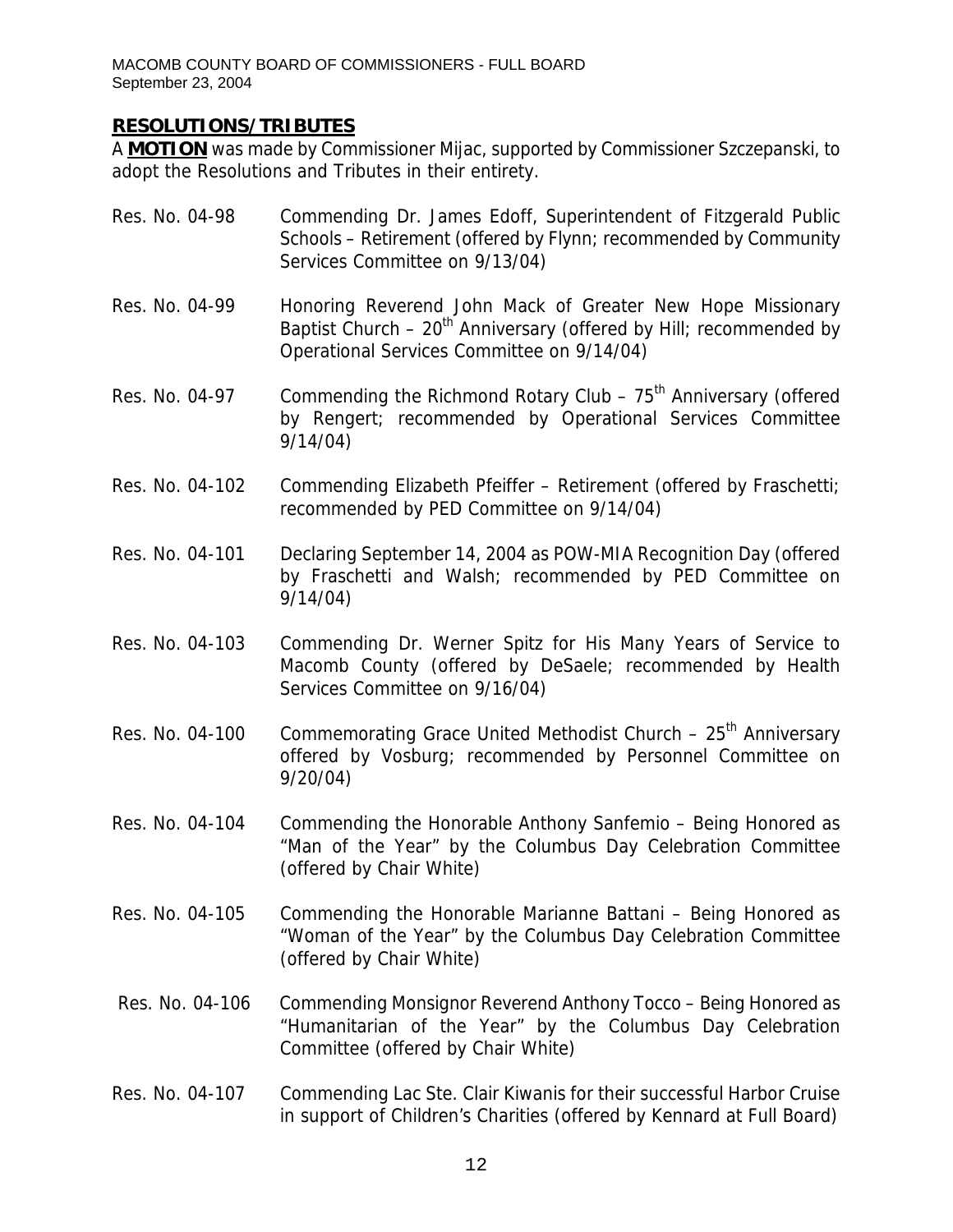# **RESOLUTIONS/TRIBUTES**

A **MOTION** was made by Commissioner Mijac, supported by Commissioner Szczepanski, to adopt the Resolutions and Tributes in their entirety.

| Res. No. 04-98  | Commending Dr. James Edoff, Superintendent of Fitzgerald Public<br>Schools - Retirement (offered by Flynn; recommended by Community<br>Services Committee on 9/13/04)                       |
|-----------------|---------------------------------------------------------------------------------------------------------------------------------------------------------------------------------------------|
| Res. No. 04-99  | Honoring Reverend John Mack of Greater New Hope Missionary<br>Baptist Church $-20$ <sup>th</sup> Anniversary (offered by Hill; recommended by<br>Operational Services Committee on 9/14/04) |
| Res. No. 04-97  | Commending the Richmond Rotary Club $-75th$ Anniversary (offered<br>by Rengert; recommended by Operational Services Committee<br>9/14/04)                                                   |
| Res. No. 04-102 | Commending Elizabeth Pfeiffer - Retirement (offered by Fraschetti;<br>recommended by PED Committee on 9/14/04)                                                                              |
| Res. No. 04-101 | Declaring September 14, 2004 as POW-MIA Recognition Day (offered<br>by Fraschetti and Walsh; recommended by PED Committee on<br>9/14/04)                                                    |
| Res. No. 04-103 | Commending Dr. Werner Spitz for His Many Years of Service to<br>Macomb County (offered by DeSaele; recommended by Health<br>Services Committee on 9/16/04)                                  |
| Res. No. 04-100 | Commemorating Grace United Methodist Church - 25 <sup>th</sup> Anniversary<br>offered by Vosburg; recommended by Personnel Committee on<br>9/20/04                                          |
| Res. No. 04-104 | Commending the Honorable Anthony Sanfemio - Being Honored as<br>"Man of the Year" by the Columbus Day Celebration Committee<br>(offered by Chair White)                                     |
| Res. No. 04-105 | Commending the Honorable Marianne Battani – Being Honored as<br>"Woman of the Year" by the Columbus Day Celebration Committee<br>(offered by Chair White)                                   |
| Res. No. 04-106 | Commending Monsignor Reverend Anthony Tocco – Being Honored as<br>"Humanitarian of the Year" by the Columbus Day Celebration<br>Committee (offered by Chair White)                          |
| Res. No. 04-107 | Commending Lac Ste. Clair Kiwanis for their successful Harbor Cruise<br>in support of Children's Charities (offered by Kennard at Full Board)                                               |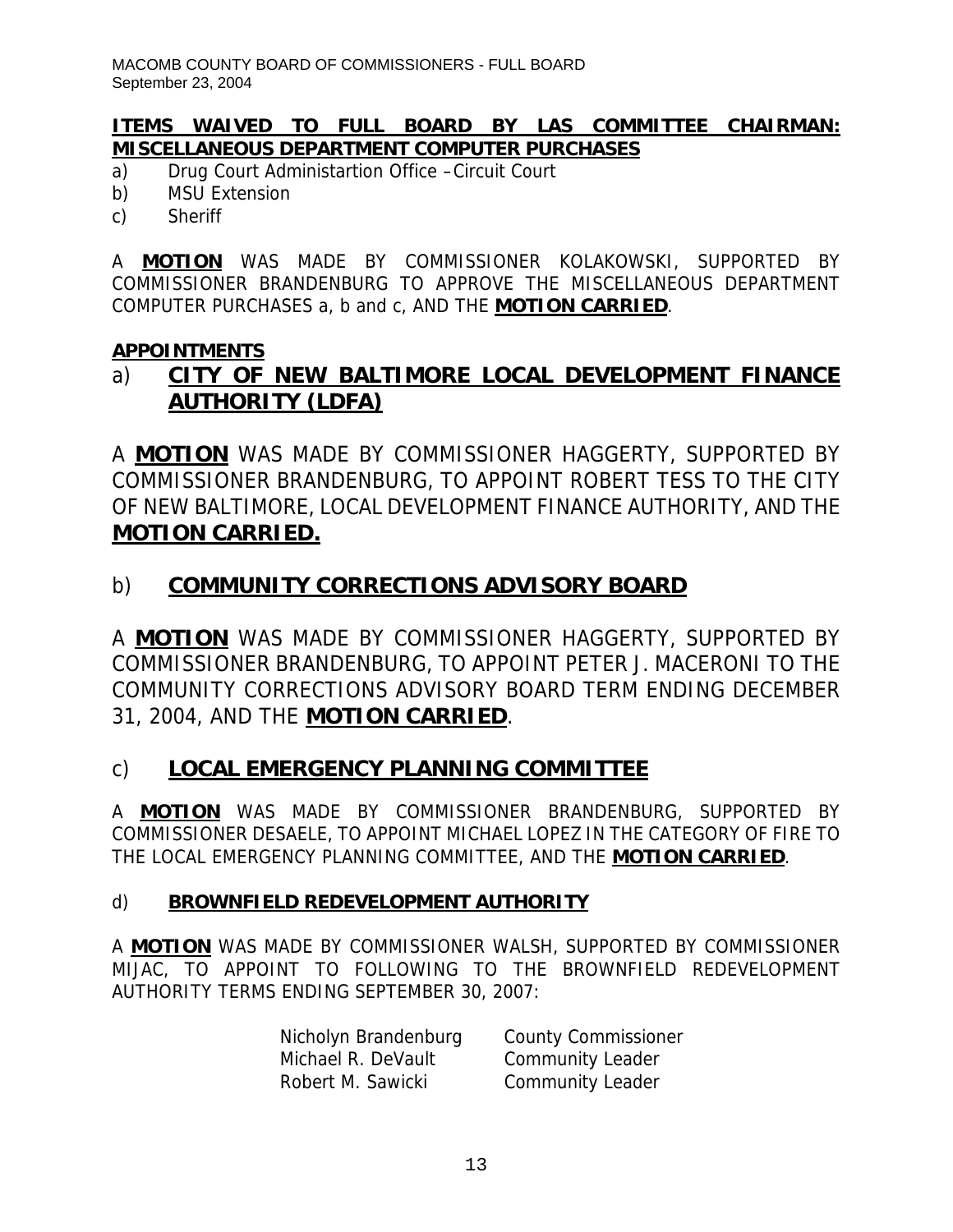# **ITEMS WAIVED TO FULL BOARD BY LAS COMMITTEE CHAIRMAN: MISCELLANEOUS DEPARTMENT COMPUTER PURCHASES**

- a) Drug Court Administartion Office –Circuit Court
- b) MSU Extension
- c) Sheriff

A **MOTION** WAS MADE BY COMMISSIONER KOLAKOWSKI, SUPPORTED BY COMMISSIONER BRANDENBURG TO APPROVE THE MISCELLANEOUS DEPARTMENT COMPUTER PURCHASES a, b and c, AND THE **MOTION CARRIED**.

# **APPOINTMENTS**

# a) **CITY OF NEW BALTIMORE LOCAL DEVELOPMENT FINANCE AUTHORITY (LDFA)**

A **MOTION** WAS MADE BY COMMISSIONER HAGGERTY, SUPPORTED BY COMMISSIONER BRANDENBURG, TO APPOINT ROBERT TESS TO THE CITY OF NEW BALTIMORE, LOCAL DEVELOPMENT FINANCE AUTHORITY, AND THE **MOTION CARRIED.**

# b) **COMMUNITY CORRECTIONS ADVISORY BOARD**

A **MOTION** WAS MADE BY COMMISSIONER HAGGERTY, SUPPORTED BY COMMISSIONER BRANDENBURG, TO APPOINT PETER J. MACERONI TO THE COMMUNITY CORRECTIONS ADVISORY BOARD TERM ENDING DECEMBER 31, 2004, AND THE **MOTION CARRIED**.

# c) **LOCAL EMERGENCY PLANNING COMMITTEE**

A **MOTION** WAS MADE BY COMMISSIONER BRANDENBURG, SUPPORTED BY COMMISSIONER DESAELE, TO APPOINT MICHAEL LOPEZ IN THE CATEGORY OF FIRE TO THE LOCAL EMERGENCY PLANNING COMMITTEE, AND THE **MOTION CARRIED**.

# d) **BROWNFIELD REDEVELOPMENT AUTHORITY**

A **MOTION** WAS MADE BY COMMISSIONER WALSH, SUPPORTED BY COMMISSIONER MIJAC, TO APPOINT TO FOLLOWING TO THE BROWNFIELD REDEVELOPMENT AUTHORITY TERMS ENDING SEPTEMBER 30, 2007:

| Nicholyn Brandenburg | <b>County Commissioner</b> |
|----------------------|----------------------------|
| Michael R. DeVault   | <b>Community Leader</b>    |
| Robert M. Sawicki    | Community Leader           |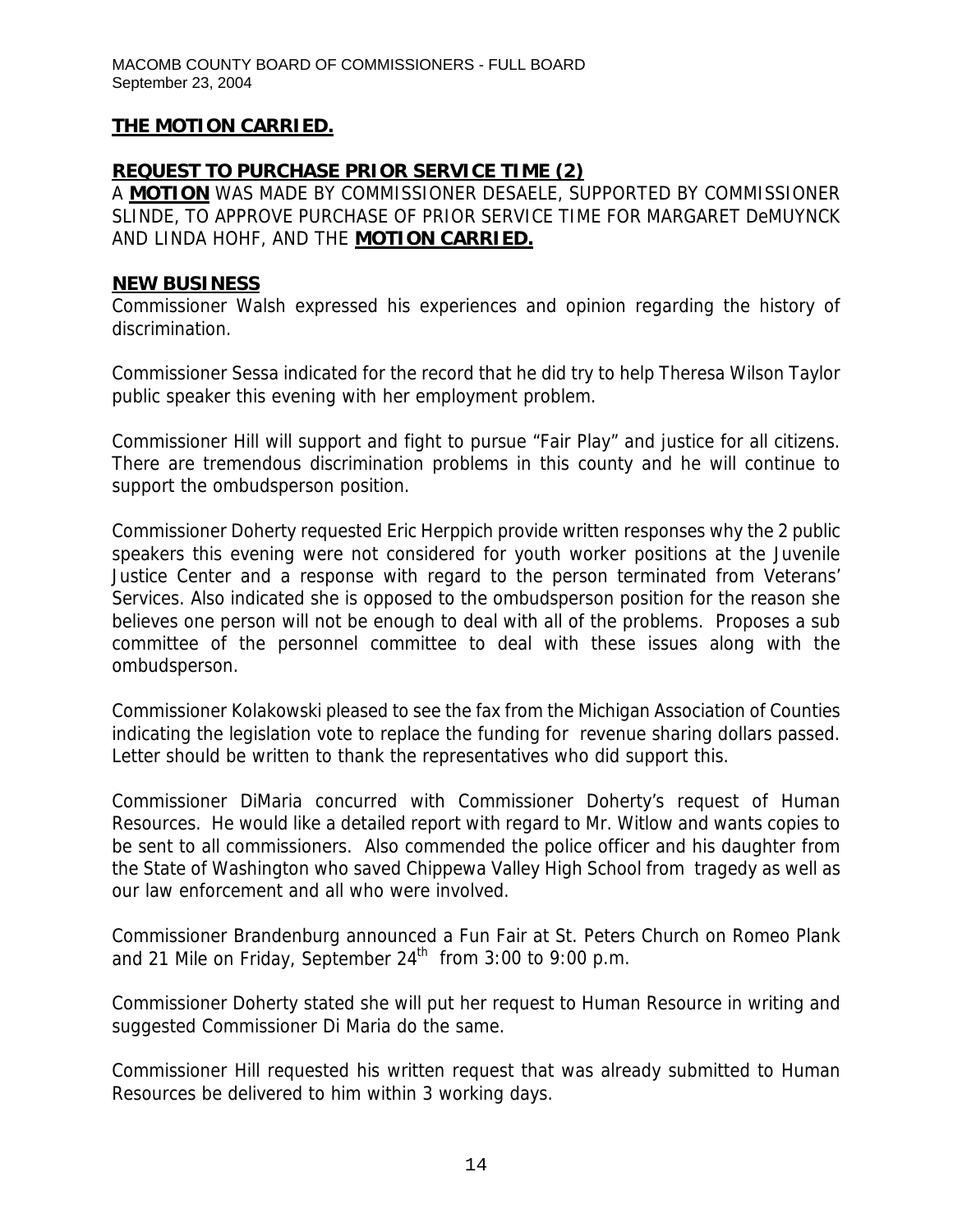#### **REQUEST TO PURCHASE PRIOR SERVICE TIME (2)**

A **MOTION** WAS MADE BY COMMISSIONER DESAELE, SUPPORTED BY COMMISSIONER SLINDE, TO APPROVE PURCHASE OF PRIOR SERVICE TIME FOR MARGARET DeMUYNCK AND LINDA HOHF, AND THE **MOTION CARRIED.**

#### **NEW BUSINESS**

Commissioner Walsh expressed his experiences and opinion regarding the history of discrimination.

Commissioner Sessa indicated for the record that he did try to help Theresa Wilson Taylor public speaker this evening with her employment problem.

Commissioner Hill will support and fight to pursue "Fair Play" and justice for all citizens. There are tremendous discrimination problems in this county and he will continue to support the ombudsperson position.

Commissioner Doherty requested Eric Herppich provide written responses why the 2 public speakers this evening were not considered for youth worker positions at the Juvenile Justice Center and a response with regard to the person terminated from Veterans' Services. Also indicated she is opposed to the ombudsperson position for the reason she believes one person will not be enough to deal with all of the problems. Proposes a sub committee of the personnel committee to deal with these issues along with the ombudsperson.

Commissioner Kolakowski pleased to see the fax from the Michigan Association of Counties indicating the legislation vote to replace the funding for revenue sharing dollars passed. Letter should be written to thank the representatives who did support this.

Commissioner DiMaria concurred with Commissioner Doherty's request of Human Resources. He would like a detailed report with regard to Mr. Witlow and wants copies to be sent to all commissioners. Also commended the police officer and his daughter from the State of Washington who saved Chippewa Valley High School from tragedy as well as our law enforcement and all who were involved.

Commissioner Brandenburg announced a Fun Fair at St. Peters Church on Romeo Plank and 21 Mile on Friday, September  $24^{th}$  from 3:00 to 9:00 p.m.

Commissioner Doherty stated she will put her request to Human Resource in writing and suggested Commissioner Di Maria do the same.

Commissioner Hill requested his written request that was already submitted to Human Resources be delivered to him within 3 working days.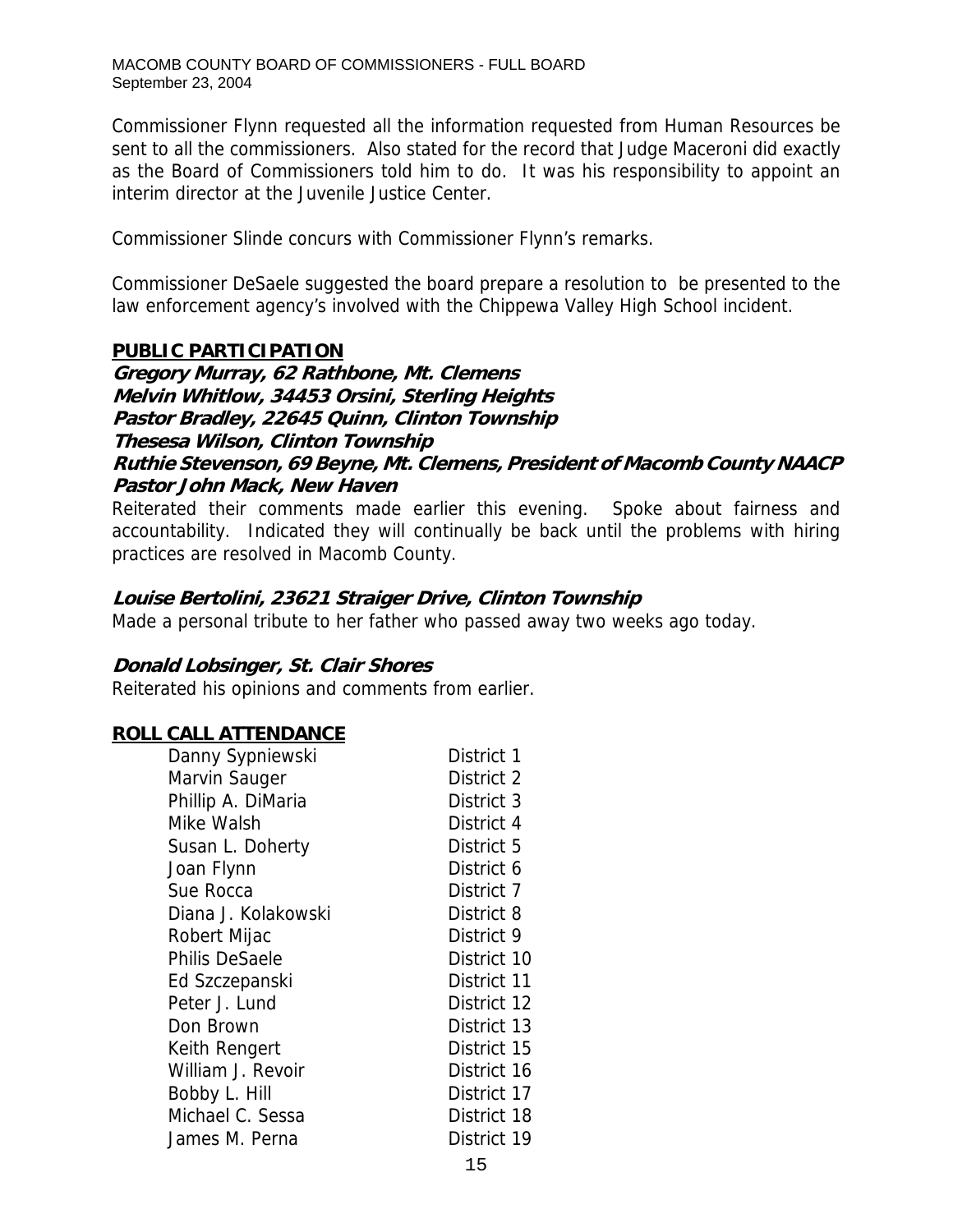Commissioner Flynn requested all the information requested from Human Resources be sent to all the commissioners. Also stated for the record that Judge Maceroni did exactly as the Board of Commissioners told him to do. It was his responsibility to appoint an interim director at the Juvenile Justice Center.

Commissioner Slinde concurs with Commissioner Flynn's remarks.

Commissioner DeSaele suggested the board prepare a resolution to be presented to the law enforcement agency's involved with the Chippewa Valley High School incident.

# **PUBLIC PARTICIPATION**

**Gregory Murray, 62 Rathbone, Mt. Clemens Melvin Whitlow, 34453 Orsini, Sterling Heights Pastor Bradley, 22645 Quinn, Clinton Township Thesesa Wilson, Clinton Township Ruthie Stevenson, 69 Beyne, Mt. Clemens, President of Macomb County NAACP Pastor John Mack, New Haven** 

Reiterated their comments made earlier this evening. Spoke about fairness and accountability. Indicated they will continually be back until the problems with hiring practices are resolved in Macomb County.

# **Louise Bertolini, 23621 Straiger Drive, Clinton Township**

Made a personal tribute to her father who passed away two weeks ago today.

# **Donald Lobsinger, St. Clair Shores**

Reiterated his opinions and comments from earlier.

# **ROLL CALL ATTENDANCE**

| Danny Sypniewski      | District 1  |
|-----------------------|-------------|
| Marvin Sauger         | District 2  |
| Phillip A. DiMaria    | District 3  |
| Mike Walsh            | District 4  |
| Susan L. Doherty      | District 5  |
| Joan Flynn            | District 6  |
| Sue Rocca             | District 7  |
| Diana J. Kolakowski   | District 8  |
| Robert Mijac          | District 9  |
| <b>Philis DeSaele</b> | District 10 |
| Ed Szczepanski        | District 11 |
| Peter J. Lund         | District 12 |
| Don Brown             | District 13 |
| Keith Rengert         | District 15 |
| William J. Revoir     | District 16 |
| Bobby L. Hill         | District 17 |
| Michael C. Sessa      | District 18 |
| James M. Perna        | District 19 |